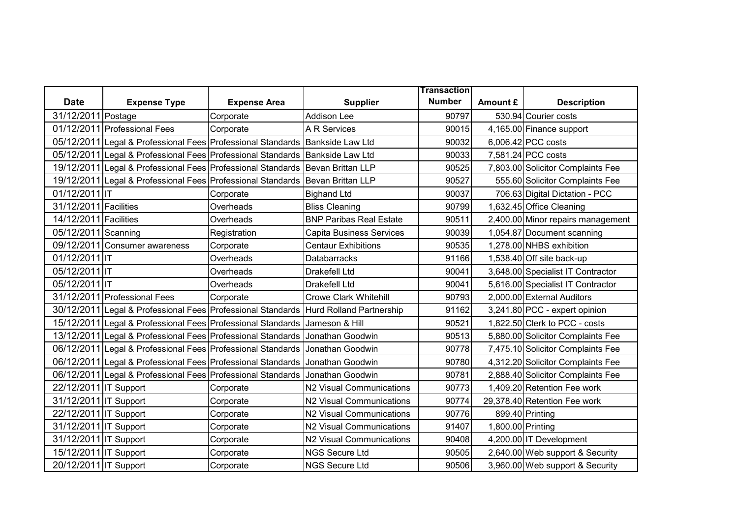|                       |                                                                                      |                     |                                | <b>Transaction</b> |                   |                                   |
|-----------------------|--------------------------------------------------------------------------------------|---------------------|--------------------------------|--------------------|-------------------|-----------------------------------|
| <b>Date</b>           | <b>Expense Type</b>                                                                  | <b>Expense Area</b> | <b>Supplier</b>                | <b>Number</b>      | Amount £          | <b>Description</b>                |
| 31/12/2011 Postage    |                                                                                      | Corporate           | <b>Addison Lee</b>             | 90797              |                   | 530.94 Courier costs              |
|                       | 01/12/2011 Professional Fees                                                         | Corporate           | A R Services                   | 90015              |                   | 4,165.00 Finance support          |
|                       | 05/12/2011 Legal & Professional Fees Professional Standards Bankside Law Ltd         |                     |                                | 90032              |                   | 6,006.42 PCC costs                |
|                       | 05/12/2011 Legal & Professional Fees Professional Standards Bankside Law Ltd         |                     |                                | 90033              |                   | 7,581.24 PCC costs                |
|                       | 19/12/2011 Legal & Professional Fees Professional Standards                          |                     | Bevan Brittan LLP              | 90525              |                   | 7,803.00 Solicitor Complaints Fee |
|                       | 19/12/2011 Legal & Professional Fees Professional Standards                          |                     | Bevan Brittan LLP              | 90527              |                   | 555.60 Solicitor Complaints Fee   |
| 01/12/2011 IT         |                                                                                      | Corporate           | <b>Bighand Ltd</b>             | 90037              |                   | 706.63 Digital Dictation - PCC    |
| 31/12/2011 Facilities |                                                                                      | Overheads           | <b>Bliss Cleaning</b>          | 90799              |                   | 1,632.45 Office Cleaning          |
| 14/12/2011 Facilities |                                                                                      | Overheads           | <b>BNP Paribas Real Estate</b> | 90511              |                   | 2,400.00 Minor repairs management |
| 05/12/2011 Scanning   |                                                                                      | Registration        | Capita Business Services       | 90039              |                   | 1,054.87 Document scanning        |
|                       | 09/12/2011 Consumer awareness                                                        | Corporate           | <b>Centaur Exhibitions</b>     | 90535              |                   | 1,278.00 NHBS exhibition          |
| 01/12/2011 IT         |                                                                                      | Overheads           | Databarracks                   | 91166              |                   | 1,538.40 Off site back-up         |
| 05/12/2011 IT         |                                                                                      | Overheads           | Drakefell Ltd                  | 90041              |                   | 3,648.00 Specialist IT Contractor |
| 05/12/2011 IT         |                                                                                      | Overheads           | Drakefell Ltd                  | 90041              |                   | 5,616.00 Specialist IT Contractor |
|                       | 31/12/2011 Professional Fees                                                         | Corporate           | <b>Crowe Clark Whitehill</b>   | 90793              |                   | 2,000.00 External Auditors        |
|                       | 30/12/2011 Legal & Professional Fees Professional Standards Hurd Rolland Partnership |                     |                                | 91162              |                   | 3,241.80 PCC - expert opinion     |
|                       | 15/12/2011 Legal & Professional Fees Professional Standards                          |                     | Jameson & Hill                 | 90521              |                   | 1,822.50 Clerk to PCC - costs     |
|                       | 13/12/2011 Legal & Professional Fees Professional Standards                          |                     | Jonathan Goodwin               | 90513              |                   | 5,880.00 Solicitor Complaints Fee |
|                       | 06/12/2011 Legal & Professional Fees Professional Standards                          |                     | Jonathan Goodwin               | 90778              |                   | 7,475.10 Solicitor Complaints Fee |
|                       | 06/12/2011 Legal & Professional Fees Professional Standards                          |                     | Jonathan Goodwin               | 90780              |                   | 4,312.20 Solicitor Complaints Fee |
|                       | 06/12/2011 Legal & Professional Fees Professional Standards                          |                     | Jonathan Goodwin               | 90781              |                   | 2,888.40 Solicitor Complaints Fee |
| 22/12/2011 IT Support |                                                                                      | Corporate           | N2 Visual Communications       | 90773              |                   | 1,409.20 Retention Fee work       |
| 31/12/2011 IT Support |                                                                                      | Corporate           | N2 Visual Communications       | 90774              |                   | 29,378.40 Retention Fee work      |
| 22/12/2011 IT Support |                                                                                      | Corporate           | N2 Visual Communications       | 90776              |                   | 899.40 Printing                   |
| 31/12/2011 IT Support |                                                                                      | Corporate           | N2 Visual Communications       | 91407              | 1,800.00 Printing |                                   |
| 31/12/2011 IT Support |                                                                                      | Corporate           | N2 Visual Communications       | 90408              |                   | 4,200.00 IT Development           |
| 15/12/2011 IT Support |                                                                                      | Corporate           | <b>NGS Secure Ltd</b>          | 90505              |                   | 2,640.00 Web support & Security   |
| 20/12/2011 IT Support |                                                                                      | Corporate           | <b>NGS Secure Ltd</b>          | 90506              |                   | 3,960.00 Web support & Security   |